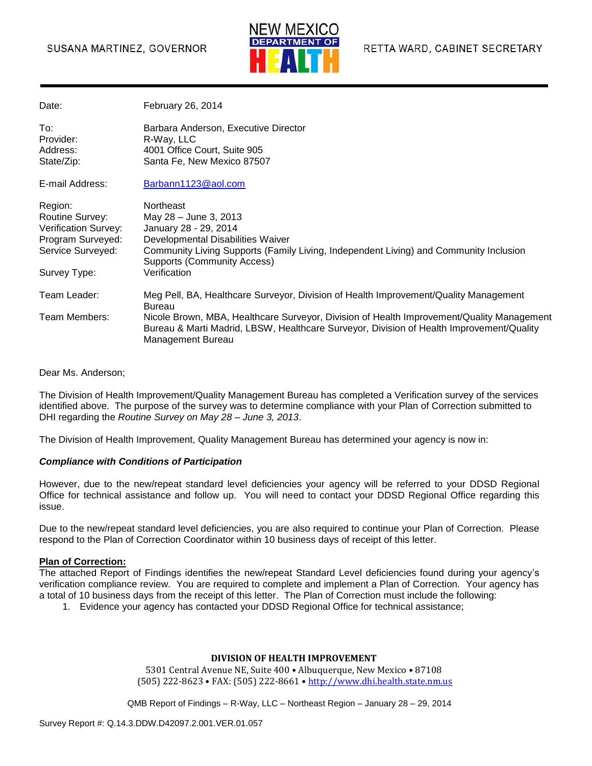#### SUSANA MARTINEZ, GOVERNOR



| Date:                                                                                                               | February 26, 2014                                                                                                                                                                                                                                      |
|---------------------------------------------------------------------------------------------------------------------|--------------------------------------------------------------------------------------------------------------------------------------------------------------------------------------------------------------------------------------------------------|
| To:<br>Provider:<br>Address:<br>State/Zip:                                                                          | Barbara Anderson, Executive Director<br>R-Way, LLC<br>4001 Office Court, Suite 905<br>Santa Fe, New Mexico 87507                                                                                                                                       |
| E-mail Address:                                                                                                     | Barbann1123@aol.com                                                                                                                                                                                                                                    |
| Region:<br>Routine Survey:<br><b>Verification Survey:</b><br>Program Surveyed:<br>Service Surveyed:<br>Survey Type: | <b>Northeast</b><br>May 28 - June 3, 2013<br>January 28 - 29, 2014<br>Developmental Disabilities Waiver<br>Community Living Supports (Family Living, Independent Living) and Community Inclusion<br><b>Supports (Community Access)</b><br>Verification |
| Team Leader:                                                                                                        | Meg Pell, BA, Healthcare Surveyor, Division of Health Improvement/Quality Management<br><b>Bureau</b>                                                                                                                                                  |
| Team Members:                                                                                                       | Nicole Brown, MBA, Healthcare Surveyor, Division of Health Improvement/Quality Management<br>Bureau & Marti Madrid, LBSW, Healthcare Surveyor, Division of Health Improvement/Quality<br>Management Bureau                                             |

#### Dear Ms. Anderson;

The Division of Health Improvement/Quality Management Bureau has completed a Verification survey of the services identified above. The purpose of the survey was to determine compliance with your Plan of Correction submitted to DHI regarding the *Routine Survey on May 28 – June 3, 2013*.

The Division of Health Improvement, Quality Management Bureau has determined your agency is now in:

#### *Compliance with Conditions of Participation*

However, due to the new/repeat standard level deficiencies your agency will be referred to your DDSD Regional Office for technical assistance and follow up. You will need to contact your DDSD Regional Office regarding this issue.

Due to the new/repeat standard level deficiencies, you are also required to continue your Plan of Correction. Please respond to the Plan of Correction Coordinator within 10 business days of receipt of this letter.

#### **Plan of Correction:**

The attached Report of Findings identifies the new/repeat Standard Level deficiencies found during your agency's verification compliance review. You are required to complete and implement a Plan of Correction. Your agency has a total of 10 business days from the receipt of this letter. The Plan of Correction must include the following:

1. Evidence your agency has contacted your DDSD Regional Office for technical assistance;

#### **DIVISION OF HEALTH IMPROVEMENT**

5301 Central Avenue NE, Suite 400 • Albuquerque, New Mexico • 87108 (505) 222-8623 • FAX: (505) 222-8661 • http://www.dhi.health.state.nm.us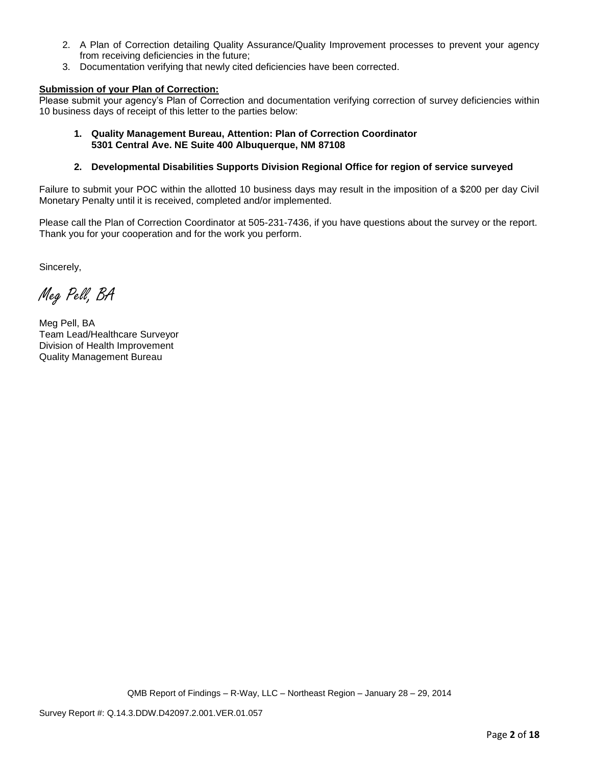- 2. A Plan of Correction detailing Quality Assurance/Quality Improvement processes to prevent your agency from receiving deficiencies in the future;
- 3. Documentation verifying that newly cited deficiencies have been corrected.

#### **Submission of your Plan of Correction:**

Please submit your agency's Plan of Correction and documentation verifying correction of survey deficiencies within 10 business days of receipt of this letter to the parties below:

#### **1. Quality Management Bureau, Attention: Plan of Correction Coordinator 5301 Central Ave. NE Suite 400 Albuquerque, NM 87108**

#### **2. Developmental Disabilities Supports Division Regional Office for region of service surveyed**

Failure to submit your POC within the allotted 10 business days may result in the imposition of a \$200 per day Civil Monetary Penalty until it is received, completed and/or implemented.

Please call the Plan of Correction Coordinator at 505-231-7436, if you have questions about the survey or the report. Thank you for your cooperation and for the work you perform.

Sincerely,

Meg Pell, BA

Meg Pell, BA Team Lead/Healthcare Surveyor Division of Health Improvement Quality Management Bureau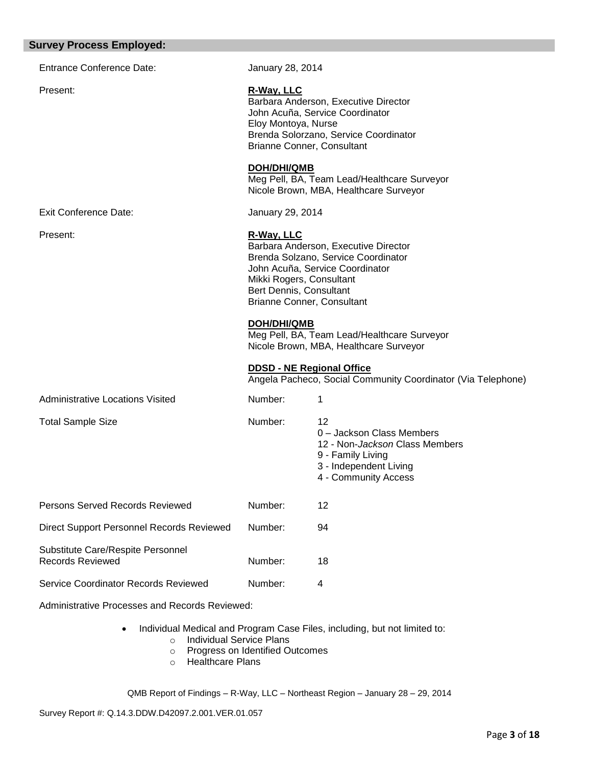| <b>Survey Process Employed:</b>                              |                                                                                                                                                                                                                   |                                                                                                                                          |
|--------------------------------------------------------------|-------------------------------------------------------------------------------------------------------------------------------------------------------------------------------------------------------------------|------------------------------------------------------------------------------------------------------------------------------------------|
| <b>Entrance Conference Date:</b>                             | January 28, 2014                                                                                                                                                                                                  |                                                                                                                                          |
| Present:                                                     | R-Way, LLC<br>Barbara Anderson, Executive Director<br>John Acuña, Service Coordinator<br>Eloy Montoya, Nurse<br>Brenda Solorzano, Service Coordinator<br>Brianne Conner, Consultant                               |                                                                                                                                          |
|                                                              | <b>DOH/DHI/QMB</b>                                                                                                                                                                                                | Meg Pell, BA, Team Lead/Healthcare Surveyor<br>Nicole Brown, MBA, Healthcare Surveyor                                                    |
| <b>Exit Conference Date:</b>                                 | January 29, 2014                                                                                                                                                                                                  |                                                                                                                                          |
| Present:                                                     | R-Way, LLC<br>Barbara Anderson, Executive Director<br>Brenda Solzano, Service Coordinator<br>John Acuña, Service Coordinator<br>Mikki Rogers, Consultant<br>Bert Dennis, Consultant<br>Brianne Conner, Consultant |                                                                                                                                          |
|                                                              | <b>DOH/DHI/QMB</b>                                                                                                                                                                                                | Meg Pell, BA, Team Lead/Healthcare Surveyor<br>Nicole Brown, MBA, Healthcare Surveyor                                                    |
|                                                              | <b>DDSD - NE Regional Office</b>                                                                                                                                                                                  | Angela Pacheco, Social Community Coordinator (Via Telephone)                                                                             |
| <b>Administrative Locations Visited</b>                      | Number:                                                                                                                                                                                                           | 1                                                                                                                                        |
| <b>Total Sample Size</b>                                     | Number:                                                                                                                                                                                                           | 12<br>0 - Jackson Class Members<br>12 - Non-Jackson Class Members<br>9 - Family Living<br>3 - Independent Living<br>4 - Community Access |
| <b>Persons Served Records Reviewed</b>                       | Number:                                                                                                                                                                                                           | 12                                                                                                                                       |
| Direct Support Personnel Records Reviewed                    | Number:                                                                                                                                                                                                           | 94                                                                                                                                       |
| Substitute Care/Respite Personnel<br><b>Records Reviewed</b> | Number:                                                                                                                                                                                                           | 18                                                                                                                                       |
| Service Coordinator Records Reviewed                         | Number:                                                                                                                                                                                                           | 4                                                                                                                                        |
| Administrative Processes and Records Reviewed:               |                                                                                                                                                                                                                   |                                                                                                                                          |

- Individual Medical and Program Case Files, including, but not limited to:
	- o Individual Service Plans
	- o Progress on Identified Outcomes
	- o Healthcare Plans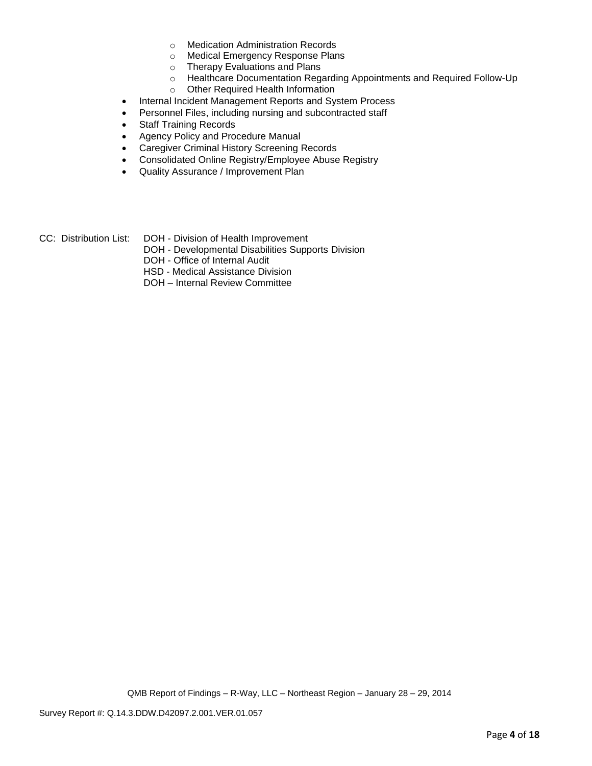- o Medication Administration Records
- o Medical Emergency Response Plans
- o Therapy Evaluations and Plans
- o Healthcare Documentation Regarding Appointments and Required Follow-Up
- o Other Required Health Information
- Internal Incident Management Reports and System Process
- Personnel Files, including nursing and subcontracted staff
- Staff Training Records
- Agency Policy and Procedure Manual
- Caregiver Criminal History Screening Records
- Consolidated Online Registry/Employee Abuse Registry
- Quality Assurance / Improvement Plan
- CC: Distribution List: DOH Division of Health Improvement
	- DOH Developmental Disabilities Supports Division
	- DOH Office of Internal Audit
	- HSD Medical Assistance Division
	- DOH Internal Review Committee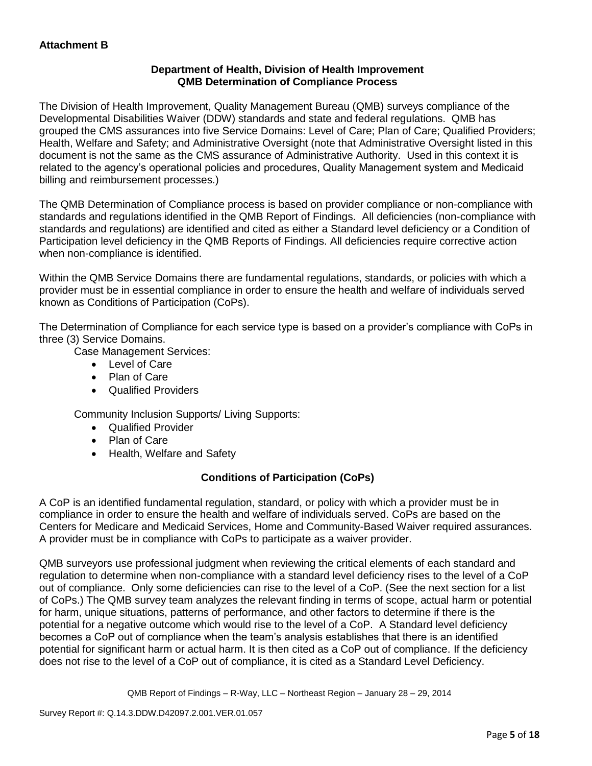## **Department of Health, Division of Health Improvement QMB Determination of Compliance Process**

The Division of Health Improvement, Quality Management Bureau (QMB) surveys compliance of the Developmental Disabilities Waiver (DDW) standards and state and federal regulations. QMB has grouped the CMS assurances into five Service Domains: Level of Care; Plan of Care; Qualified Providers; Health, Welfare and Safety; and Administrative Oversight (note that Administrative Oversight listed in this document is not the same as the CMS assurance of Administrative Authority. Used in this context it is related to the agency's operational policies and procedures, Quality Management system and Medicaid billing and reimbursement processes.)

The QMB Determination of Compliance process is based on provider compliance or non-compliance with standards and regulations identified in the QMB Report of Findings. All deficiencies (non-compliance with standards and regulations) are identified and cited as either a Standard level deficiency or a Condition of Participation level deficiency in the QMB Reports of Findings. All deficiencies require corrective action when non-compliance is identified.

Within the QMB Service Domains there are fundamental regulations, standards, or policies with which a provider must be in essential compliance in order to ensure the health and welfare of individuals served known as Conditions of Participation (CoPs).

The Determination of Compliance for each service type is based on a provider's compliance with CoPs in three (3) Service Domains.

Case Management Services:

- Level of Care
- Plan of Care
- Qualified Providers

Community Inclusion Supports/ Living Supports:

- Qualified Provider
- Plan of Care
- Health, Welfare and Safety

# **Conditions of Participation (CoPs)**

A CoP is an identified fundamental regulation, standard, or policy with which a provider must be in compliance in order to ensure the health and welfare of individuals served. CoPs are based on the Centers for Medicare and Medicaid Services, Home and Community-Based Waiver required assurances. A provider must be in compliance with CoPs to participate as a waiver provider.

QMB surveyors use professional judgment when reviewing the critical elements of each standard and regulation to determine when non-compliance with a standard level deficiency rises to the level of a CoP out of compliance. Only some deficiencies can rise to the level of a CoP. (See the next section for a list of CoPs.) The QMB survey team analyzes the relevant finding in terms of scope, actual harm or potential for harm, unique situations, patterns of performance, and other factors to determine if there is the potential for a negative outcome which would rise to the level of a CoP. A Standard level deficiency becomes a CoP out of compliance when the team's analysis establishes that there is an identified potential for significant harm or actual harm. It is then cited as a CoP out of compliance. If the deficiency does not rise to the level of a CoP out of compliance, it is cited as a Standard Level Deficiency.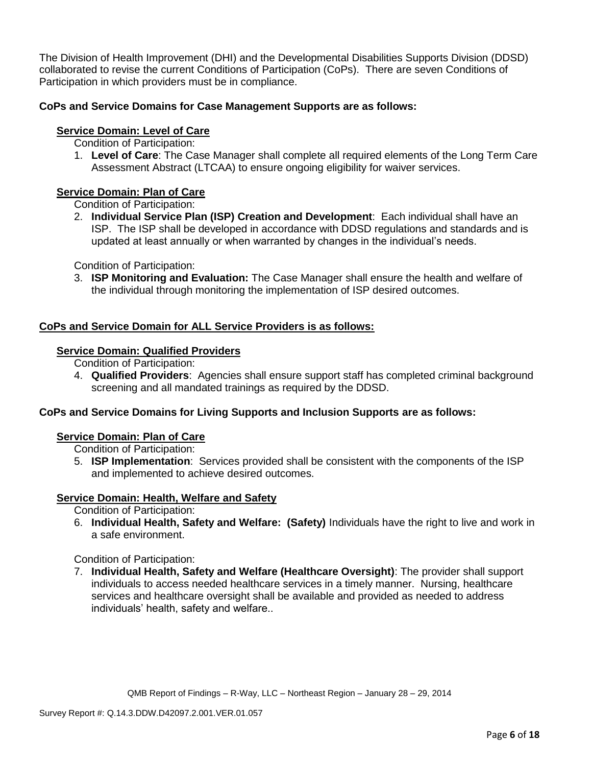The Division of Health Improvement (DHI) and the Developmental Disabilities Supports Division (DDSD) collaborated to revise the current Conditions of Participation (CoPs). There are seven Conditions of Participation in which providers must be in compliance.

## **CoPs and Service Domains for Case Management Supports are as follows:**

## **Service Domain: Level of Care**

Condition of Participation:

1. **Level of Care**: The Case Manager shall complete all required elements of the Long Term Care Assessment Abstract (LTCAA) to ensure ongoing eligibility for waiver services.

## **Service Domain: Plan of Care**

Condition of Participation:

2. **Individual Service Plan (ISP) Creation and Development**: Each individual shall have an ISP. The ISP shall be developed in accordance with DDSD regulations and standards and is updated at least annually or when warranted by changes in the individual's needs.

Condition of Participation:

3. **ISP Monitoring and Evaluation:** The Case Manager shall ensure the health and welfare of the individual through monitoring the implementation of ISP desired outcomes.

## **CoPs and Service Domain for ALL Service Providers is as follows:**

### **Service Domain: Qualified Providers**

- Condition of Participation:
- 4. **Qualified Providers**: Agencies shall ensure support staff has completed criminal background screening and all mandated trainings as required by the DDSD.

## **CoPs and Service Domains for Living Supports and Inclusion Supports are as follows:**

#### **Service Domain: Plan of Care**

Condition of Participation:

5. **ISP Implementation**: Services provided shall be consistent with the components of the ISP and implemented to achieve desired outcomes.

## **Service Domain: Health, Welfare and Safety**

Condition of Participation:

6. **Individual Health, Safety and Welfare: (Safety)** Individuals have the right to live and work in a safe environment.

Condition of Participation:

7. **Individual Health, Safety and Welfare (Healthcare Oversight)**: The provider shall support individuals to access needed healthcare services in a timely manner. Nursing, healthcare services and healthcare oversight shall be available and provided as needed to address individuals' health, safety and welfare..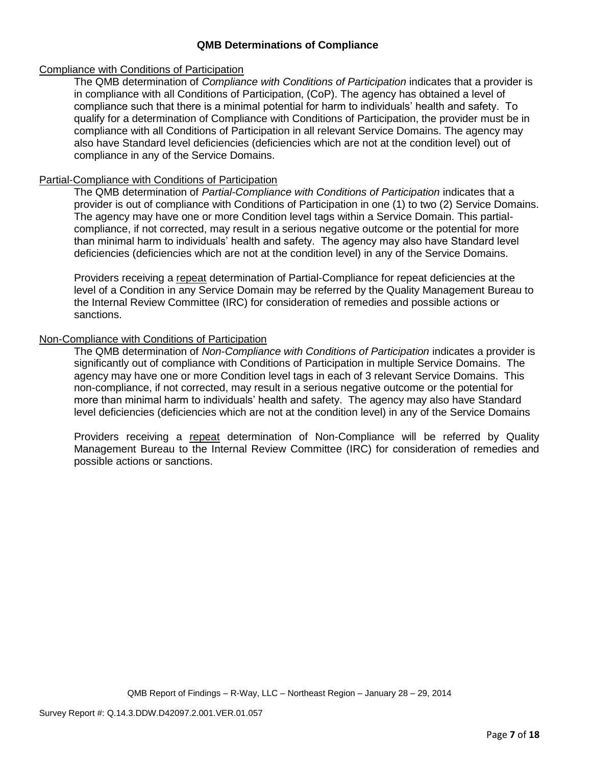### **QMB Determinations of Compliance**

#### Compliance with Conditions of Participation

The QMB determination of *Compliance with Conditions of Participation* indicates that a provider is in compliance with all Conditions of Participation, (CoP). The agency has obtained a level of compliance such that there is a minimal potential for harm to individuals' health and safety. To qualify for a determination of Compliance with Conditions of Participation, the provider must be in compliance with all Conditions of Participation in all relevant Service Domains. The agency may also have Standard level deficiencies (deficiencies which are not at the condition level) out of compliance in any of the Service Domains.

#### Partial-Compliance with Conditions of Participation

The QMB determination of *Partial-Compliance with Conditions of Participation* indicates that a provider is out of compliance with Conditions of Participation in one (1) to two (2) Service Domains. The agency may have one or more Condition level tags within a Service Domain. This partialcompliance, if not corrected, may result in a serious negative outcome or the potential for more than minimal harm to individuals' health and safety. The agency may also have Standard level deficiencies (deficiencies which are not at the condition level) in any of the Service Domains.

Providers receiving a repeat determination of Partial-Compliance for repeat deficiencies at the level of a Condition in any Service Domain may be referred by the Quality Management Bureau to the Internal Review Committee (IRC) for consideration of remedies and possible actions or sanctions.

#### Non-Compliance with Conditions of Participation

The QMB determination of *Non-Compliance with Conditions of Participation* indicates a provider is significantly out of compliance with Conditions of Participation in multiple Service Domains. The agency may have one or more Condition level tags in each of 3 relevant Service Domains. This non-compliance, if not corrected, may result in a serious negative outcome or the potential for more than minimal harm to individuals' health and safety. The agency may also have Standard level deficiencies (deficiencies which are not at the condition level) in any of the Service Domains

Providers receiving a repeat determination of Non-Compliance will be referred by Quality Management Bureau to the Internal Review Committee (IRC) for consideration of remedies and possible actions or sanctions.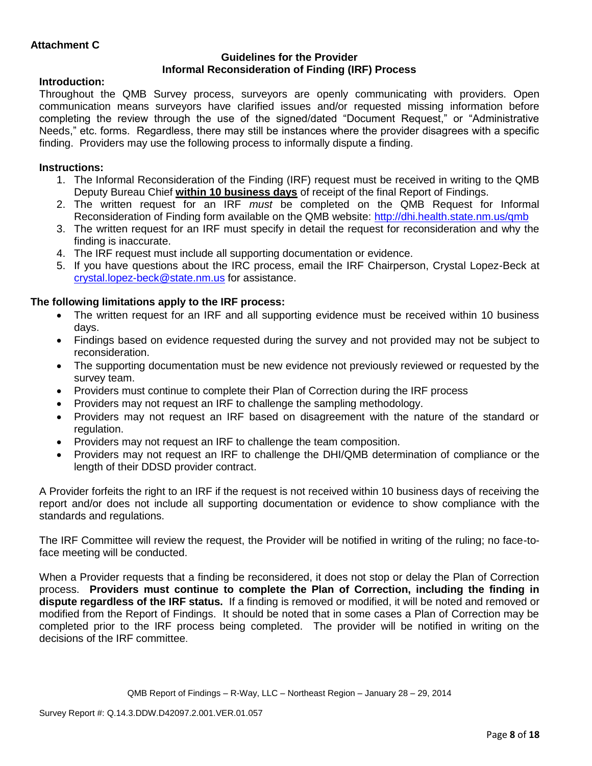### **Guidelines for the Provider Informal Reconsideration of Finding (IRF) Process**

## **Introduction:**

Throughout the QMB Survey process, surveyors are openly communicating with providers. Open communication means surveyors have clarified issues and/or requested missing information before completing the review through the use of the signed/dated "Document Request," or "Administrative Needs," etc. forms. Regardless, there may still be instances where the provider disagrees with a specific finding. Providers may use the following process to informally dispute a finding.

## **Instructions:**

- 1. The Informal Reconsideration of the Finding (IRF) request must be received in writing to the QMB Deputy Bureau Chief **within 10 business days** of receipt of the final Report of Findings.
- 2. The written request for an IRF *must* be completed on the QMB Request for Informal Reconsideration of Finding form available on the QMB website:<http://dhi.health.state.nm.us/qmb>
- 3. The written request for an IRF must specify in detail the request for reconsideration and why the finding is inaccurate.
- 4. The IRF request must include all supporting documentation or evidence.
- 5. If you have questions about the IRC process, email the IRF Chairperson, Crystal Lopez-Beck at [crystal.lopez-beck@state.nm.us](mailto:crystal.lopez-beck@state.nm.us) for assistance.

## **The following limitations apply to the IRF process:**

- The written request for an IRF and all supporting evidence must be received within 10 business days.
- Findings based on evidence requested during the survey and not provided may not be subject to reconsideration.
- The supporting documentation must be new evidence not previously reviewed or requested by the survey team.
- Providers must continue to complete their Plan of Correction during the IRF process
- Providers may not request an IRF to challenge the sampling methodology.
- Providers may not request an IRF based on disagreement with the nature of the standard or regulation.
- Providers may not request an IRF to challenge the team composition.
- Providers may not request an IRF to challenge the DHI/QMB determination of compliance or the length of their DDSD provider contract.

A Provider forfeits the right to an IRF if the request is not received within 10 business days of receiving the report and/or does not include all supporting documentation or evidence to show compliance with the standards and regulations.

The IRF Committee will review the request, the Provider will be notified in writing of the ruling; no face-toface meeting will be conducted.

When a Provider requests that a finding be reconsidered, it does not stop or delay the Plan of Correction process. **Providers must continue to complete the Plan of Correction, including the finding in dispute regardless of the IRF status.** If a finding is removed or modified, it will be noted and removed or modified from the Report of Findings. It should be noted that in some cases a Plan of Correction may be completed prior to the IRF process being completed. The provider will be notified in writing on the decisions of the IRF committee.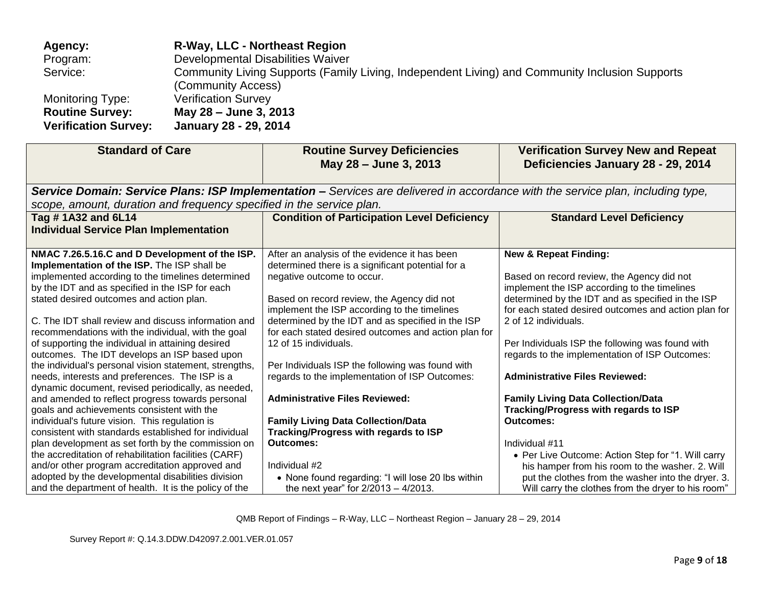| Agency:                                               | <b>R-Way, LLC - Northeast Region</b>                                                                                 |
|-------------------------------------------------------|----------------------------------------------------------------------------------------------------------------------|
| Program:                                              | Developmental Disabilities Waiver                                                                                    |
| Service:                                              | Community Living Supports (Family Living, Independent Living) and Community Inclusion Supports<br>(Community Access) |
| Monitoring Type:                                      | <b>Verification Survey</b>                                                                                           |
| <b>Routine Survey:</b><br><b>Verification Survey:</b> | May 28 - June 3, 2013<br>January 28 - 29, 2014                                                                       |

| <b>Standard of Care</b><br><b>Routine Survey Deficiencies</b><br>May 28 - June 3, 2013                                                                                                                                                                                                                                                                                                                                                                                                                                                                                                                                                                                                                                                                                                                                                                                                                                                                           |                                                                                                                                                                                                                                                                                                                                                                                                                                                                                                                                                                                                                               | <b>Verification Survey New and Repeat</b><br>Deficiencies January 28 - 29, 2014                                                                                                                                                                                                                                                                                                                                                                                                                                                                                                                             |
|------------------------------------------------------------------------------------------------------------------------------------------------------------------------------------------------------------------------------------------------------------------------------------------------------------------------------------------------------------------------------------------------------------------------------------------------------------------------------------------------------------------------------------------------------------------------------------------------------------------------------------------------------------------------------------------------------------------------------------------------------------------------------------------------------------------------------------------------------------------------------------------------------------------------------------------------------------------|-------------------------------------------------------------------------------------------------------------------------------------------------------------------------------------------------------------------------------------------------------------------------------------------------------------------------------------------------------------------------------------------------------------------------------------------------------------------------------------------------------------------------------------------------------------------------------------------------------------------------------|-------------------------------------------------------------------------------------------------------------------------------------------------------------------------------------------------------------------------------------------------------------------------------------------------------------------------------------------------------------------------------------------------------------------------------------------------------------------------------------------------------------------------------------------------------------------------------------------------------------|
|                                                                                                                                                                                                                                                                                                                                                                                                                                                                                                                                                                                                                                                                                                                                                                                                                                                                                                                                                                  | Service Domain: Service Plans: ISP Implementation - Services are delivered in accordance with the service plan, including type,                                                                                                                                                                                                                                                                                                                                                                                                                                                                                               |                                                                                                                                                                                                                                                                                                                                                                                                                                                                                                                                                                                                             |
| scope, amount, duration and frequency specified in the service plan.                                                                                                                                                                                                                                                                                                                                                                                                                                                                                                                                                                                                                                                                                                                                                                                                                                                                                             |                                                                                                                                                                                                                                                                                                                                                                                                                                                                                                                                                                                                                               |                                                                                                                                                                                                                                                                                                                                                                                                                                                                                                                                                                                                             |
| Tag #1A32 and 6L14<br><b>Individual Service Plan Implementation</b>                                                                                                                                                                                                                                                                                                                                                                                                                                                                                                                                                                                                                                                                                                                                                                                                                                                                                              | <b>Condition of Participation Level Deficiency</b>                                                                                                                                                                                                                                                                                                                                                                                                                                                                                                                                                                            | <b>Standard Level Deficiency</b>                                                                                                                                                                                                                                                                                                                                                                                                                                                                                                                                                                            |
| NMAC 7.26.5.16.C and D Development of the ISP.<br>Implementation of the ISP. The ISP shall be<br>implemented according to the timelines determined<br>by the IDT and as specified in the ISP for each<br>stated desired outcomes and action plan.<br>C. The IDT shall review and discuss information and<br>recommendations with the individual, with the goal<br>of supporting the individual in attaining desired<br>outcomes. The IDT develops an ISP based upon<br>the individual's personal vision statement, strengths,<br>needs, interests and preferences. The ISP is a<br>dynamic document, revised periodically, as needed,<br>and amended to reflect progress towards personal<br>goals and achievements consistent with the<br>individual's future vision. This regulation is<br>consistent with standards established for individual<br>plan development as set forth by the commission on<br>the accreditation of rehabilitation facilities (CARF) | After an analysis of the evidence it has been<br>determined there is a significant potential for a<br>negative outcome to occur.<br>Based on record review, the Agency did not<br>implement the ISP according to the timelines<br>determined by the IDT and as specified in the ISP<br>for each stated desired outcomes and action plan for<br>12 of 15 individuals.<br>Per Individuals ISP the following was found with<br>regards to the implementation of ISP Outcomes:<br><b>Administrative Files Reviewed:</b><br><b>Family Living Data Collection/Data</b><br><b>Tracking/Progress with regards to ISP</b><br>Outcomes: | <b>New &amp; Repeat Finding:</b><br>Based on record review, the Agency did not<br>implement the ISP according to the timelines<br>determined by the IDT and as specified in the ISP<br>for each stated desired outcomes and action plan for<br>2 of 12 individuals.<br>Per Individuals ISP the following was found with<br>regards to the implementation of ISP Outcomes:<br><b>Administrative Files Reviewed:</b><br><b>Family Living Data Collection/Data</b><br><b>Tracking/Progress with regards to ISP</b><br><b>Outcomes:</b><br>Individual #11<br>• Per Live Outcome: Action Step for "1. Will carry |
| and/or other program accreditation approved and<br>adopted by the developmental disabilities division<br>and the department of health. It is the policy of the                                                                                                                                                                                                                                                                                                                                                                                                                                                                                                                                                                                                                                                                                                                                                                                                   | Individual #2<br>• None found regarding: "I will lose 20 lbs within<br>the next year" for 2/2013 - 4/2013.                                                                                                                                                                                                                                                                                                                                                                                                                                                                                                                    | his hamper from his room to the washer. 2. Will<br>put the clothes from the washer into the dryer. 3.<br>Will carry the clothes from the dryer to his room"                                                                                                                                                                                                                                                                                                                                                                                                                                                 |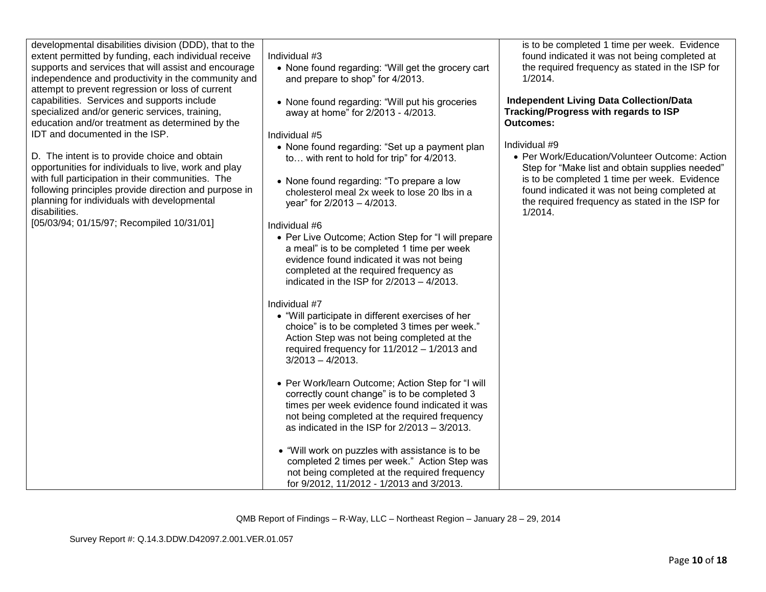| developmental disabilities division (DDD), that to the<br>extent permitted by funding, each individual receive<br>supports and services that will assist and encourage<br>independence and productivity in the community and                                                                                                     | Individual #3<br>• None found regarding: "Will get the grocery cart<br>and prepare to shop" for 4/2013.                                                                                                                                                                                                                                                                                                                                                  | is to be completed 1 time per week. Evidence<br>found indicated it was not being completed at<br>the required frequency as stated in the ISP for<br>1/2014.                                                                                                                       |
|----------------------------------------------------------------------------------------------------------------------------------------------------------------------------------------------------------------------------------------------------------------------------------------------------------------------------------|----------------------------------------------------------------------------------------------------------------------------------------------------------------------------------------------------------------------------------------------------------------------------------------------------------------------------------------------------------------------------------------------------------------------------------------------------------|-----------------------------------------------------------------------------------------------------------------------------------------------------------------------------------------------------------------------------------------------------------------------------------|
| attempt to prevent regression or loss of current<br>capabilities. Services and supports include<br>specialized and/or generic services, training,<br>education and/or treatment as determined by the<br>IDT and documented in the ISP.                                                                                           | • None found regarding: "Will put his groceries<br>away at home" for 2/2013 - 4/2013.<br>Individual #5                                                                                                                                                                                                                                                                                                                                                   | <b>Independent Living Data Collection/Data</b><br>Tracking/Progress with regards to ISP<br><b>Outcomes:</b>                                                                                                                                                                       |
| D. The intent is to provide choice and obtain<br>opportunities for individuals to live, work and play<br>with full participation in their communities. The<br>following principles provide direction and purpose in<br>planning for individuals with developmental<br>disabilities.<br>[05/03/94; 01/15/97; Recompiled 10/31/01] | • None found regarding: "Set up a payment plan<br>to with rent to hold for trip" for 4/2013.<br>• None found regarding: "To prepare a low<br>cholesterol meal 2x week to lose 20 lbs in a<br>year" for 2/2013 - 4/2013.<br>Individual #6<br>• Per Live Outcome; Action Step for "I will prepare<br>a meal" is to be completed 1 time per week<br>evidence found indicated it was not being<br>completed at the required frequency as                     | Individual #9<br>• Per Work/Education/Volunteer Outcome: Action<br>Step for "Make list and obtain supplies needed"<br>is to be completed 1 time per week. Evidence<br>found indicated it was not being completed at<br>the required frequency as stated in the ISP for<br>1/2014. |
|                                                                                                                                                                                                                                                                                                                                  | indicated in the ISP for $2/2013 - 4/2013$ .<br>Individual #7<br>• "Will participate in different exercises of her<br>choice" is to be completed 3 times per week."<br>Action Step was not being completed at the<br>required frequency for 11/2012 - 1/2013 and<br>$3/2013 - 4/2013$ .                                                                                                                                                                  |                                                                                                                                                                                                                                                                                   |
|                                                                                                                                                                                                                                                                                                                                  | • Per Work/learn Outcome; Action Step for "I will<br>correctly count change" is to be completed 3<br>times per week evidence found indicated it was<br>not being completed at the required frequency<br>as indicated in the ISP for $2/2013 - 3/2013$ .<br>• "Will work on puzzles with assistance is to be<br>completed 2 times per week." Action Step was<br>not being completed at the required frequency<br>for 9/2012, 11/2012 - 1/2013 and 3/2013. |                                                                                                                                                                                                                                                                                   |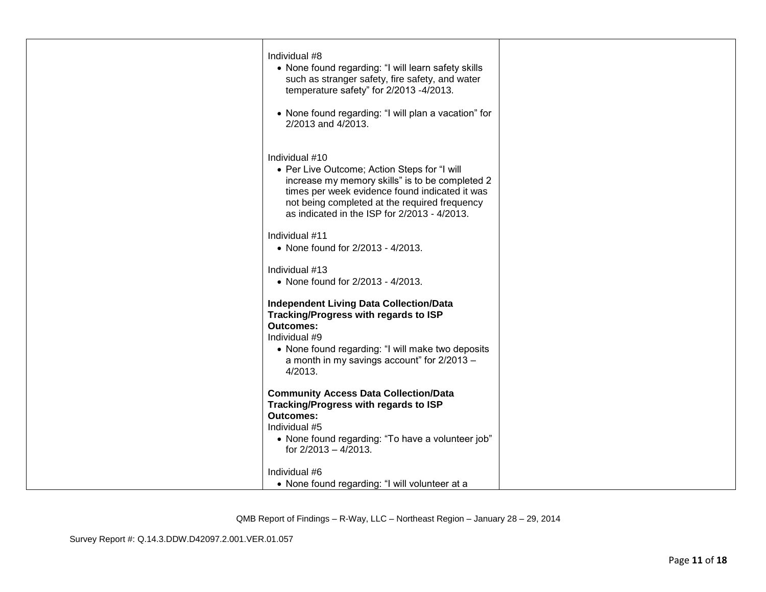| Individual #8<br>• None found regarding: "I will learn safety skills<br>such as stranger safety, fire safety, and water<br>temperature safety" for 2/2013 -4/2013.<br>• None found regarding: "I will plan a vacation" for<br>2/2013 and 4/2013.                     |  |
|----------------------------------------------------------------------------------------------------------------------------------------------------------------------------------------------------------------------------------------------------------------------|--|
| Individual #10<br>• Per Live Outcome; Action Steps for "I will<br>increase my memory skills" is to be completed 2<br>times per week evidence found indicated it was<br>not being completed at the required frequency<br>as indicated in the ISP for 2/2013 - 4/2013. |  |
| Individual #11<br>• None found for 2/2013 - 4/2013.                                                                                                                                                                                                                  |  |
| Individual #13<br>• None found for 2/2013 - 4/2013.                                                                                                                                                                                                                  |  |
| <b>Independent Living Data Collection/Data</b><br>Tracking/Progress with regards to ISP<br><b>Outcomes:</b><br>Individual #9<br>• None found regarding: "I will make two deposits<br>a month in my savings account" for 2/2013 -<br>4/2013.                          |  |
| <b>Community Access Data Collection/Data</b><br>Tracking/Progress with regards to ISP<br><b>Outcomes:</b><br>Individual #5<br>• None found regarding: "To have a volunteer job"<br>for 2/2013 - 4/2013.                                                              |  |
| Individual #6<br>• None found regarding: "I will volunteer at a                                                                                                                                                                                                      |  |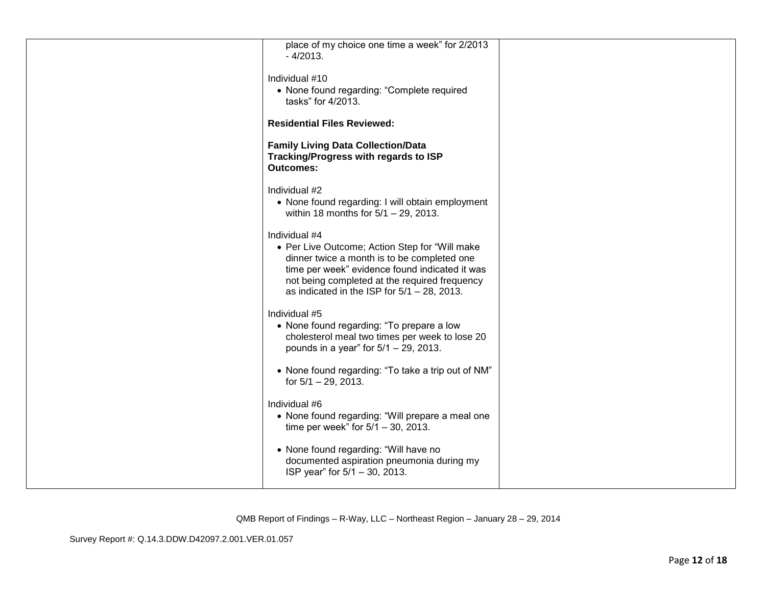| place of my choice one time a week" for 2/2013<br>$-4/2013.$<br>Individual #10<br>• None found regarding: "Complete required<br>tasks" for 4/2013.                                                                                                                  |  |
|---------------------------------------------------------------------------------------------------------------------------------------------------------------------------------------------------------------------------------------------------------------------|--|
| <b>Residential Files Reviewed:</b>                                                                                                                                                                                                                                  |  |
| <b>Family Living Data Collection/Data</b><br>Tracking/Progress with regards to ISP<br><b>Outcomes:</b>                                                                                                                                                              |  |
| Individual #2<br>• None found regarding: I will obtain employment<br>within 18 months for $5/1 - 29$ , 2013.                                                                                                                                                        |  |
| Individual #4<br>• Per Live Outcome; Action Step for "Will make<br>dinner twice a month is to be completed one<br>time per week" evidence found indicated it was<br>not being completed at the required frequency<br>as indicated in the ISP for $5/1 - 28$ , 2013. |  |
| Individual #5<br>• None found regarding: "To prepare a low<br>cholesterol meal two times per week to lose 20<br>pounds in a year" for $5/1 - 29$ , 2013.                                                                                                            |  |
| • None found regarding: "To take a trip out of NM"<br>for $5/1 - 29$ , 2013.                                                                                                                                                                                        |  |
| Individual #6<br>• None found regarding: "Will prepare a meal one<br>time per week" for $5/1 - 30$ , 2013.                                                                                                                                                          |  |
| • None found regarding: "Will have no<br>documented aspiration pneumonia during my<br>ISP year" for 5/1 - 30, 2013.                                                                                                                                                 |  |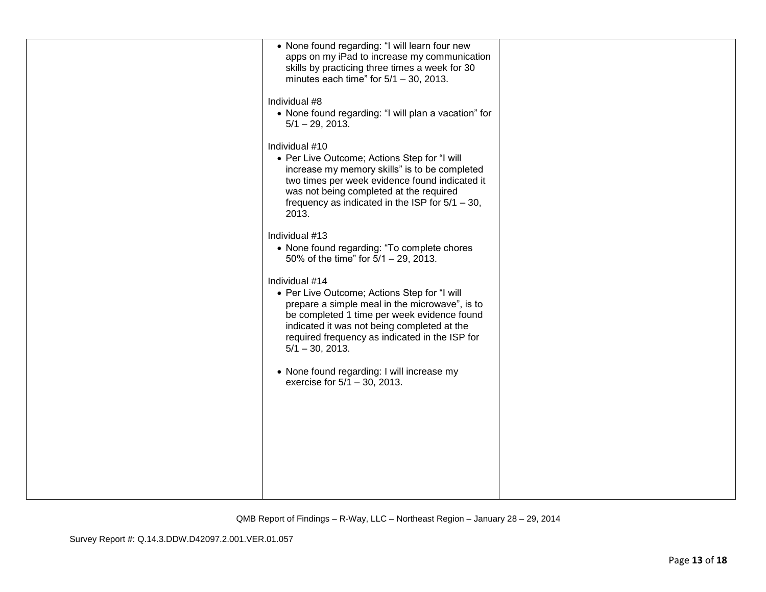| • None found regarding: "I will learn four new<br>apps on my iPad to increase my communication<br>skills by practicing three times a week for 30<br>minutes each time" for $5/1 - 30$ , 2013.                                                                                          |  |
|----------------------------------------------------------------------------------------------------------------------------------------------------------------------------------------------------------------------------------------------------------------------------------------|--|
| Individual #8<br>• None found regarding: "I will plan a vacation" for<br>$5/1 - 29$ , 2013.                                                                                                                                                                                            |  |
| Individual #10<br>• Per Live Outcome; Actions Step for "I will<br>increase my memory skills" is to be completed<br>two times per week evidence found indicated it<br>was not being completed at the required<br>frequency as indicated in the ISP for $5/1 - 30$ ,<br>2013.            |  |
| Individual #13<br>• None found regarding: "To complete chores<br>50% of the time" for $5/1 - 29$ , 2013.                                                                                                                                                                               |  |
| Individual #14<br>• Per Live Outcome; Actions Step for "I will<br>prepare a simple meal in the microwave", is to<br>be completed 1 time per week evidence found<br>indicated it was not being completed at the<br>required frequency as indicated in the ISP for<br>$5/1 - 30$ , 2013. |  |
| • None found regarding: I will increase my<br>exercise for 5/1 - 30, 2013.                                                                                                                                                                                                             |  |
|                                                                                                                                                                                                                                                                                        |  |
|                                                                                                                                                                                                                                                                                        |  |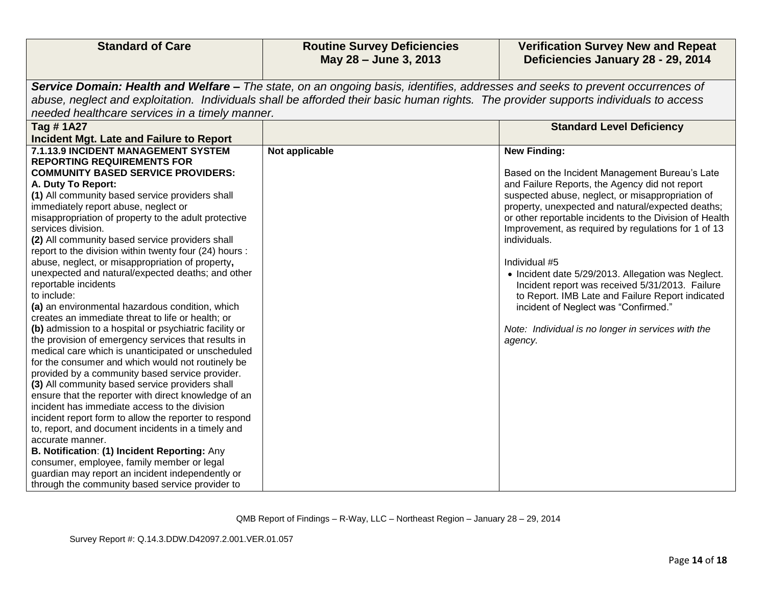| <b>Standard of Care</b>                                                                                       | <b>Routine Survey Deficiencies</b><br>May 28 - June 3, 2013                                                                          | <b>Verification Survey New and Repeat</b><br>Deficiencies January 28 - 29, 2014                       |
|---------------------------------------------------------------------------------------------------------------|--------------------------------------------------------------------------------------------------------------------------------------|-------------------------------------------------------------------------------------------------------|
|                                                                                                               | Service Domain: Health and Welfare - The state, on an ongoing basis, identifies, addresses and seeks to prevent occurrences of       |                                                                                                       |
|                                                                                                               | abuse, neglect and exploitation. Individuals shall be afforded their basic human rights. The provider supports individuals to access |                                                                                                       |
| needed healthcare services in a timely manner.                                                                |                                                                                                                                      |                                                                                                       |
| <b>Tag #1A27</b>                                                                                              |                                                                                                                                      | <b>Standard Level Deficiency</b>                                                                      |
| <b>Incident Mgt. Late and Failure to Report</b>                                                               |                                                                                                                                      |                                                                                                       |
| 7.1.13.9 INCIDENT MANAGEMENT SYSTEM                                                                           | Not applicable                                                                                                                       | <b>New Finding:</b>                                                                                   |
| <b>REPORTING REQUIREMENTS FOR</b>                                                                             |                                                                                                                                      |                                                                                                       |
| <b>COMMUNITY BASED SERVICE PROVIDERS:</b>                                                                     |                                                                                                                                      | Based on the Incident Management Bureau's Late                                                        |
| A. Duty To Report:<br>(1) All community based service providers shall                                         |                                                                                                                                      | and Failure Reports, the Agency did not report                                                        |
| immediately report abuse, neglect or                                                                          |                                                                                                                                      | suspected abuse, neglect, or misappropriation of<br>property, unexpected and natural/expected deaths; |
| misappropriation of property to the adult protective                                                          |                                                                                                                                      | or other reportable incidents to the Division of Health                                               |
| services division.                                                                                            |                                                                                                                                      | Improvement, as required by regulations for 1 of 13                                                   |
| (2) All community based service providers shall                                                               |                                                                                                                                      | individuals.                                                                                          |
| report to the division within twenty four (24) hours :                                                        |                                                                                                                                      |                                                                                                       |
| abuse, neglect, or misappropriation of property,                                                              |                                                                                                                                      | Individual #5                                                                                         |
| unexpected and natural/expected deaths; and other                                                             |                                                                                                                                      | • Incident date 5/29/2013. Allegation was Neglect.                                                    |
| reportable incidents                                                                                          |                                                                                                                                      | Incident report was received 5/31/2013. Failure                                                       |
| to include:                                                                                                   |                                                                                                                                      | to Report. IMB Late and Failure Report indicated                                                      |
| (a) an environmental hazardous condition, which                                                               |                                                                                                                                      | incident of Neglect was "Confirmed."                                                                  |
| creates an immediate threat to life or health; or                                                             |                                                                                                                                      |                                                                                                       |
| (b) admission to a hospital or psychiatric facility or<br>the provision of emergency services that results in |                                                                                                                                      | Note: Individual is no longer in services with the                                                    |
| medical care which is unanticipated or unscheduled                                                            |                                                                                                                                      | agency.                                                                                               |
| for the consumer and which would not routinely be                                                             |                                                                                                                                      |                                                                                                       |
| provided by a community based service provider.                                                               |                                                                                                                                      |                                                                                                       |
| (3) All community based service providers shall                                                               |                                                                                                                                      |                                                                                                       |
| ensure that the reporter with direct knowledge of an                                                          |                                                                                                                                      |                                                                                                       |
| incident has immediate access to the division                                                                 |                                                                                                                                      |                                                                                                       |
| incident report form to allow the reporter to respond                                                         |                                                                                                                                      |                                                                                                       |
| to, report, and document incidents in a timely and                                                            |                                                                                                                                      |                                                                                                       |
| accurate manner.                                                                                              |                                                                                                                                      |                                                                                                       |
| B. Notification: (1) Incident Reporting: Any                                                                  |                                                                                                                                      |                                                                                                       |
| consumer, employee, family member or legal<br>guardian may report an incident independently or                |                                                                                                                                      |                                                                                                       |
| through the community based service provider to                                                               |                                                                                                                                      |                                                                                                       |
|                                                                                                               |                                                                                                                                      |                                                                                                       |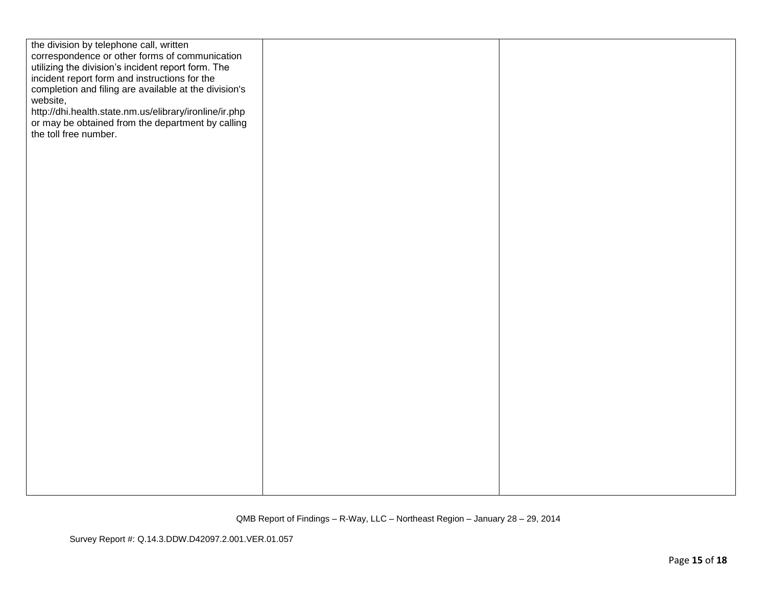| the division by telephone call, written<br>correspondence or other forms of communication<br>utilizing the division's incident report form. The<br>incident report form and instructions for the<br>completion and filing are available at the division's<br>website,<br>http://dhi.health.state.nm.us/elibrary/ironline/ir.php<br>or may be obtained from the department by calling<br>the toll free number. |  |
|---------------------------------------------------------------------------------------------------------------------------------------------------------------------------------------------------------------------------------------------------------------------------------------------------------------------------------------------------------------------------------------------------------------|--|
|                                                                                                                                                                                                                                                                                                                                                                                                               |  |
|                                                                                                                                                                                                                                                                                                                                                                                                               |  |
|                                                                                                                                                                                                                                                                                                                                                                                                               |  |
|                                                                                                                                                                                                                                                                                                                                                                                                               |  |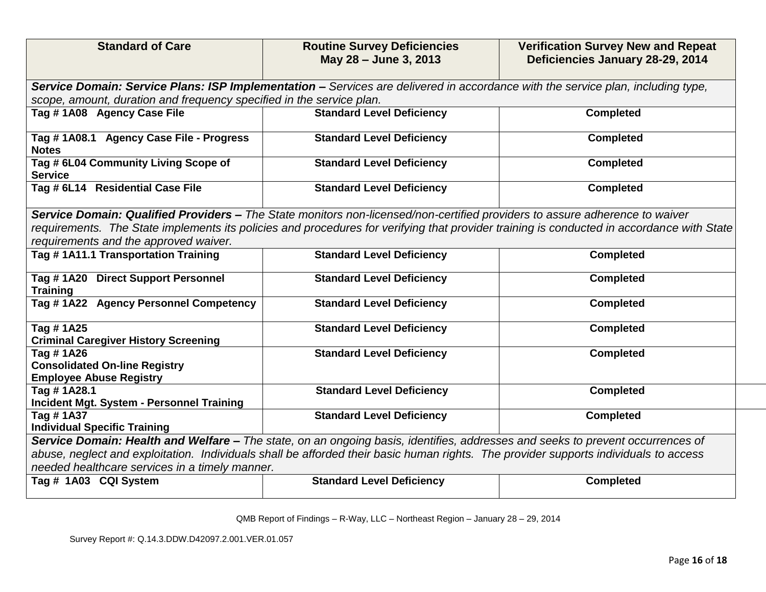| <b>Standard of Care</b>                                                                                                                                              | <b>Routine Survey Deficiencies</b><br>May 28 - June 3, 2013 | <b>Verification Survey New and Repeat</b><br>Deficiencies January 28-29, 2014                                                             |  |
|----------------------------------------------------------------------------------------------------------------------------------------------------------------------|-------------------------------------------------------------|-------------------------------------------------------------------------------------------------------------------------------------------|--|
| Service Domain: Service Plans: ISP Implementation - Services are delivered in accordance with the service plan, including type,                                      |                                                             |                                                                                                                                           |  |
| scope, amount, duration and frequency specified in the service plan.                                                                                                 |                                                             |                                                                                                                                           |  |
| Tag #1A08 Agency Case File                                                                                                                                           | <b>Standard Level Deficiency</b>                            | <b>Completed</b>                                                                                                                          |  |
| Tag #1A08.1 Agency Case File - Progress<br><b>Notes</b>                                                                                                              | <b>Standard Level Deficiency</b>                            | <b>Completed</b>                                                                                                                          |  |
| Tag # 6L04 Community Living Scope of<br><b>Service</b>                                                                                                               | <b>Standard Level Deficiency</b>                            | <b>Completed</b>                                                                                                                          |  |
| Tag # 6L14 Residential Case File                                                                                                                                     | <b>Standard Level Deficiency</b>                            | <b>Completed</b>                                                                                                                          |  |
| Service Domain: Qualified Providers - The State monitors non-licensed/non-certified providers to assure adherence to waiver<br>requirements and the approved waiver. |                                                             | requirements. The State implements its policies and procedures for verifying that provider training is conducted in accordance with State |  |
| Tag #1A11.1 Transportation Training                                                                                                                                  | <b>Standard Level Deficiency</b>                            | <b>Completed</b>                                                                                                                          |  |
| Tag #1A20 Direct Support Personnel<br><b>Training</b>                                                                                                                | <b>Standard Level Deficiency</b>                            | <b>Completed</b>                                                                                                                          |  |
| Tag #1A22 Agency Personnel Competency                                                                                                                                | <b>Standard Level Deficiency</b>                            | <b>Completed</b>                                                                                                                          |  |
| Tag #1A25<br><b>Criminal Caregiver History Screening</b>                                                                                                             | <b>Standard Level Deficiency</b>                            | <b>Completed</b>                                                                                                                          |  |
| Tag #1A26<br><b>Consolidated On-line Registry</b><br><b>Employee Abuse Registry</b>                                                                                  | <b>Standard Level Deficiency</b>                            | <b>Completed</b>                                                                                                                          |  |
| Tag #1A28.1<br>Incident Mgt. System - Personnel Training                                                                                                             | <b>Standard Level Deficiency</b>                            | <b>Completed</b>                                                                                                                          |  |
| Tag #1A37<br><b>Individual Specific Training</b>                                                                                                                     | <b>Standard Level Deficiency</b>                            | <b>Completed</b>                                                                                                                          |  |
| Service Domain: Health and Welfare - The state, on an ongoing basis, identifies, addresses and seeks to prevent occurrences of                                       |                                                             |                                                                                                                                           |  |
| abuse, neglect and exploitation. Individuals shall be afforded their basic human rights. The provider supports individuals to access                                 |                                                             |                                                                                                                                           |  |
| needed healthcare services in a timely manner.                                                                                                                       |                                                             |                                                                                                                                           |  |
| Tag # 1A03 CQI System                                                                                                                                                | <b>Standard Level Deficiency</b>                            | <b>Completed</b>                                                                                                                          |  |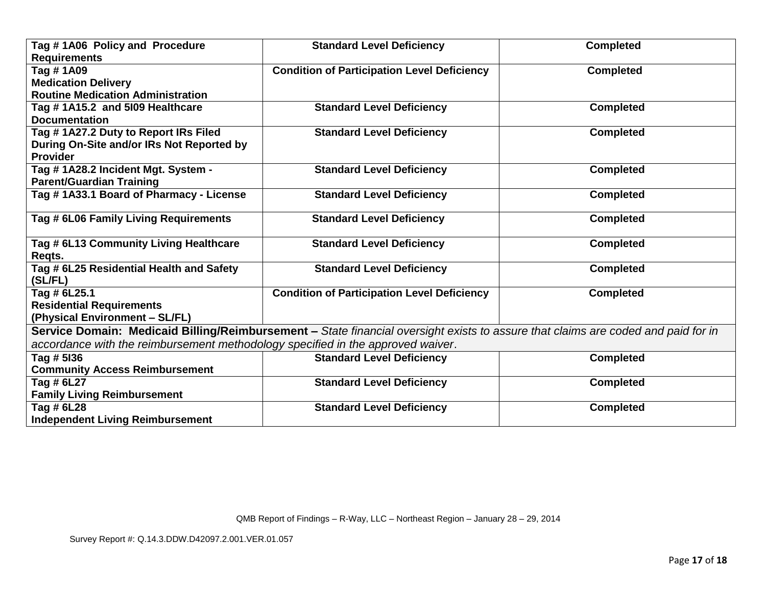| Tag #1A06 Policy and Procedure<br><b>Requirements</b>                           | <b>Standard Level Deficiency</b>                                                                                                  | <b>Completed</b> |
|---------------------------------------------------------------------------------|-----------------------------------------------------------------------------------------------------------------------------------|------------------|
| Tag # 1A09                                                                      | <b>Condition of Participation Level Deficiency</b>                                                                                | <b>Completed</b> |
| <b>Medication Delivery</b>                                                      |                                                                                                                                   |                  |
| <b>Routine Medication Administration</b>                                        |                                                                                                                                   |                  |
| Tag #1A15.2 and 5109 Healthcare                                                 | <b>Standard Level Deficiency</b>                                                                                                  | <b>Completed</b> |
| <b>Documentation</b>                                                            |                                                                                                                                   |                  |
| Tag # 1A27.2 Duty to Report IRs Filed                                           | <b>Standard Level Deficiency</b>                                                                                                  | <b>Completed</b> |
| During On-Site and/or IRs Not Reported by                                       |                                                                                                                                   |                  |
| <b>Provider</b>                                                                 |                                                                                                                                   |                  |
| Tag #1A28.2 Incident Mgt. System -                                              | <b>Standard Level Deficiency</b>                                                                                                  | <b>Completed</b> |
| <b>Parent/Guardian Training</b>                                                 |                                                                                                                                   |                  |
| Tag # 1A33.1 Board of Pharmacy - License                                        | <b>Standard Level Deficiency</b>                                                                                                  | <b>Completed</b> |
|                                                                                 |                                                                                                                                   |                  |
| Tag # 6L06 Family Living Requirements                                           | <b>Standard Level Deficiency</b>                                                                                                  | <b>Completed</b> |
|                                                                                 |                                                                                                                                   |                  |
| Tag # 6L13 Community Living Healthcare                                          | <b>Standard Level Deficiency</b>                                                                                                  | <b>Completed</b> |
| Regts.                                                                          |                                                                                                                                   |                  |
| Tag # 6L25 Residential Health and Safety                                        | <b>Standard Level Deficiency</b>                                                                                                  | <b>Completed</b> |
| (SL/FL)                                                                         |                                                                                                                                   |                  |
| Tag # 6L25.1                                                                    | <b>Condition of Participation Level Deficiency</b>                                                                                | <b>Completed</b> |
| <b>Residential Requirements</b>                                                 |                                                                                                                                   |                  |
| (Physical Environment - SL/FL)                                                  |                                                                                                                                   |                  |
|                                                                                 | Service Domain: Medicaid Billing/Reimbursement - State financial oversight exists to assure that claims are coded and paid for in |                  |
| accordance with the reimbursement methodology specified in the approved waiver. |                                                                                                                                   |                  |
| Tag # 5136                                                                      | <b>Standard Level Deficiency</b>                                                                                                  | <b>Completed</b> |
| <b>Community Access Reimbursement</b>                                           |                                                                                                                                   |                  |
| Tag # 6L27                                                                      | <b>Standard Level Deficiency</b>                                                                                                  | <b>Completed</b> |
| <b>Family Living Reimbursement</b>                                              |                                                                                                                                   |                  |
| Tag # 6L28                                                                      | <b>Standard Level Deficiency</b>                                                                                                  | <b>Completed</b> |
| <b>Independent Living Reimbursement</b>                                         |                                                                                                                                   |                  |